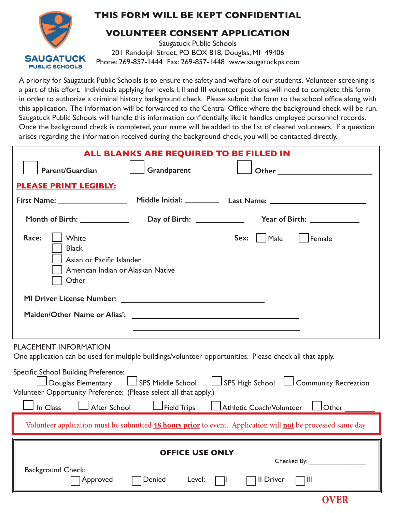

## **THIS FORM WILL BE KEPT CONFIDENTIAL**

## **VOLUNTEER CONSENT APPLICATION**

Saugatuck Public Schools 201 Randolph Street, PO BOX 818, Douglas, MI 49406 Phone: 269-857-1444 Fax: 269-857-1448 www.saugatuckps.com

A priority for Saugatuck Public Schools is to ensure the safety and welfare of our students. Volunteer screening is a part of this effort. Individuals applying for levels I, II and III volunteer positions will need to complete this form in order to authorize a criminal history background check. Please submit the form to the school office along with this application. The information will be forwarded to the Central Office where the background check will be run. Saugatuck Public Schools will handle this information confidentially, like it handles employee personnel records. Once the background check is completed, your name will be added to the list of cleared volunteers. If a question arises regarding the information received during the background check, you will be contacted directly.

| <b>ALL BLANKS ARE REQUIRED TO BE FILLED IN</b>                                                                                                                                                                                                                                                                     |                                            |                                                               |                              |  |  |  |
|--------------------------------------------------------------------------------------------------------------------------------------------------------------------------------------------------------------------------------------------------------------------------------------------------------------------|--------------------------------------------|---------------------------------------------------------------|------------------------------|--|--|--|
| Parent/Guardian                                                                                                                                                                                                                                                                                                    | Grandparent                                | <b>Other Community</b>                                        |                              |  |  |  |
| <b>PLEASE PRINT LEGIBLY:</b>                                                                                                                                                                                                                                                                                       |                                            |                                                               |                              |  |  |  |
|                                                                                                                                                                                                                                                                                                                    |                                            |                                                               |                              |  |  |  |
|                                                                                                                                                                                                                                                                                                                    |                                            |                                                               | Year of Birth: _____________ |  |  |  |
| Race:<br>White<br><b>Black</b><br>Asian or Pacific Islander<br>American Indian or Alaskan Native<br>Other<br>Maiden/Other Name or Alias':                                                                                                                                                                          |                                            | Male<br>Sex:<br><u> 1980 - Andrea Andrew Maria (h. 1980).</u> | Female                       |  |  |  |
| <b>PLACEMENT INFORMATION</b><br>One application can be used for multiple buildings/volunteer opportunities. Please check all that apply.                                                                                                                                                                           |                                            |                                                               |                              |  |  |  |
| Specific School Building Preference:<br>$\Box$ Douglas Elementary $\Box$ SPS Middle School<br>$\Box$ SPS High School $\Box$ Community Recreation<br>Volunteer Opportunity Preference: (Please select all that apply.)<br>In Class<br>After School<br>Field Trips<br>Athletic Coach/Volunteer<br>$\mathsf{J}$ Other |                                            |                                                               |                              |  |  |  |
| Volunteer application must be submitted 48 hours prior to event. Application will not be processed same day.                                                                                                                                                                                                       |                                            |                                                               |                              |  |  |  |
| <b>Background Check:</b><br>Approved                                                                                                                                                                                                                                                                               | <b>OFFICE USE ONLY</b><br>Denied<br>Level: | II Driver<br>$\Box$                                           | $\neg$ III                   |  |  |  |